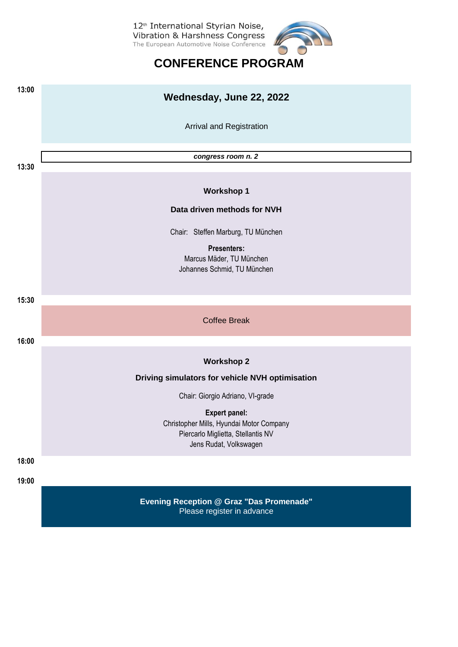

## **CONFERENCE PROGRAM**

| 13:00 | Wednesday, June 22, 2022                                                                                 |  |  |  |
|-------|----------------------------------------------------------------------------------------------------------|--|--|--|
|       | Arrival and Registration                                                                                 |  |  |  |
|       | congress room n. 2                                                                                       |  |  |  |
| 13:30 |                                                                                                          |  |  |  |
|       | <b>Workshop 1</b>                                                                                        |  |  |  |
|       | Data driven methods for NVH                                                                              |  |  |  |
|       | Chair: Steffen Marburg, TU München                                                                       |  |  |  |
|       | <b>Presenters:</b><br>Marcus Mäder, TU München<br>Johannes Schmid, TU München                            |  |  |  |
|       |                                                                                                          |  |  |  |
| 15:30 |                                                                                                          |  |  |  |
|       | <b>Coffee Break</b>                                                                                      |  |  |  |
| 16:00 |                                                                                                          |  |  |  |
|       | <b>Workshop 2</b>                                                                                        |  |  |  |
|       | Driving simulators for vehicle NVH optimisation                                                          |  |  |  |
|       | Chair: Giorgio Adriano, VI-grade                                                                         |  |  |  |
|       | <b>Expert panel:</b>                                                                                     |  |  |  |
|       | Christopher Mills, Hyundai Motor Company<br>Piercarlo Miglietta, Stellantis NV<br>Jens Rudat, Volkswagen |  |  |  |
| 18:00 |                                                                                                          |  |  |  |
| 19:00 |                                                                                                          |  |  |  |
|       |                                                                                                          |  |  |  |
|       | <b>Evening Reception @ Graz "Das Promenade"</b><br>Please register in advance                            |  |  |  |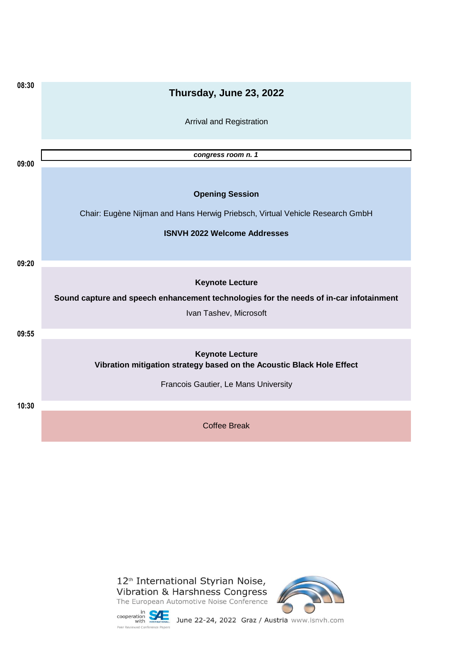| 08:30 | Thursday, June 23, 2022                                                                         |
|-------|-------------------------------------------------------------------------------------------------|
|       | Arrival and Registration                                                                        |
|       | congress room n. 1                                                                              |
| 09:00 |                                                                                                 |
|       | <b>Opening Session</b>                                                                          |
|       | Chair: Eugène Nijman and Hans Herwig Priebsch, Virtual Vehicle Research GmbH                    |
|       | <b>ISNVH 2022 Welcome Addresses</b>                                                             |
|       |                                                                                                 |
| 09:20 |                                                                                                 |
|       | <b>Keynote Lecture</b>                                                                          |
|       | Sound capture and speech enhancement technologies for the needs of in-car infotainment          |
|       | Ivan Tashev, Microsoft                                                                          |
| 09:55 |                                                                                                 |
|       | <b>Keynote Lecture</b><br>Vibration mitigation strategy based on the Acoustic Black Hole Effect |
|       | Francois Gautier, Le Mans University                                                            |
| 10:30 |                                                                                                 |
|       | <b>Coffee Break</b>                                                                             |



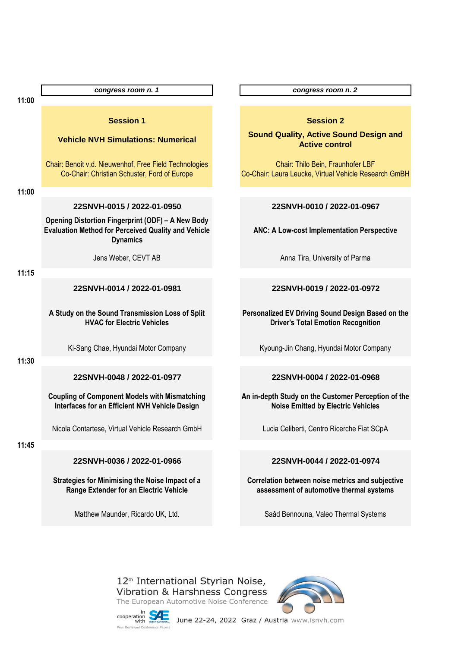|       | congress room n. 1                                                                                                                        | congress room n. 2                                                                      |
|-------|-------------------------------------------------------------------------------------------------------------------------------------------|-----------------------------------------------------------------------------------------|
| 11:00 |                                                                                                                                           |                                                                                         |
|       | <b>Session 1</b>                                                                                                                          | <b>Session 2</b>                                                                        |
|       | <b>Vehicle NVH Simulations: Numerical</b>                                                                                                 | <b>Sound Quality, Active Sound De</b><br><b>Active control</b>                          |
|       | Chair: Benoit v.d. Nieuwenhof, Free Field Technologies<br>Co-Chair: Christian Schuster, Ford of Europe                                    | Chair: Thilo Bein, Fraunhofer LE<br>Co-Chair: Laura Leucke, Virtual Vehicle Res         |
| 11:00 |                                                                                                                                           |                                                                                         |
|       | 22SNVH-0015 / 2022-01-0950                                                                                                                | 22SNVH-0010 / 2022-01-09                                                                |
|       | <b>Opening Distortion Fingerprint (ODF) - A New Body</b><br><b>Evaluation Method for Perceived Quality and Vehicle</b><br><b>Dynamics</b> | <b>ANC: A Low-cost Implementation Per</b>                                               |
|       | Jens Weber, CEVT AB                                                                                                                       | Anna Tira, University of Parma                                                          |
| 11:15 |                                                                                                                                           |                                                                                         |
|       | 22SNVH-0014 / 2022-01-0981                                                                                                                | 22SNVH-0019 / 2022-01-09                                                                |
|       | A Study on the Sound Transmission Loss of Split<br><b>HVAC for Electric Vehicles</b>                                                      | <b>Personalized EV Driving Sound Design E</b><br><b>Driver's Total Emotion Recognit</b> |
|       | Ki-Sang Chae, Hyundai Motor Company                                                                                                       | Kyoung-Jin Chang, Hyundai Motor Co                                                      |
| 11:30 |                                                                                                                                           |                                                                                         |
|       | 22SNVH-0048 / 2022-01-0977                                                                                                                | 22SNVH-0004 / 2022-01-09                                                                |
|       | <b>Coupling of Component Models with Mismatching</b><br>Interfaces for an Efficient NVH Vehicle Design                                    | An in-depth Study on the Customer Perc<br><b>Noise Emitted by Electric Vehic</b>        |
|       | Nicola Contartese, Virtual Vehicle Research GmbH                                                                                          | Lucia Celiberti, Centro Ricerche Fiat                                                   |
| 11:45 |                                                                                                                                           |                                                                                         |
|       | 22SNVH-0036 / 2022-01-0966                                                                                                                | 22SNVH-0044 / 2022-01-09                                                                |
|       | Strategies for Minimising the Noise Impact of a<br>Range Extender for an Electric Vehicle                                                 | Correlation between noise metrics and<br>assessment of automotive thermal s             |

**Sund Design and** trol

unhofer LBF ehicle Research GmBH

### **22SNVH-0015 / 2022-01-0950 22SNVH-0010 / 2022-01-0967**

**Ancignal Perspective** 

### **22SNVH-0014 / 2022-01-0981 22SNVH-0019 / 2022-01-0972**

**Pesign Based on the Recognition** 

ai Motor Company

### **22SNVH-0048 / 2022-01-0977 22SNVH-0004 / 2022-01-0968**

**An in-** Perception of the **Kric Vehicles** 

erche Fiat SCpA

### **22SNVH-0036 / 2022-01-0966 22SNVH-0044 / 2022-01-0974**

etrics and subjective **thermal systems** 

Matthew Maunder, Ricardo UK, Ltd. Saad Bennouna, Valeo Thermal Systems

12<sup>th</sup> International Styrian Noise, Vibration & Harshness Congress The European Automotive Noise Conference



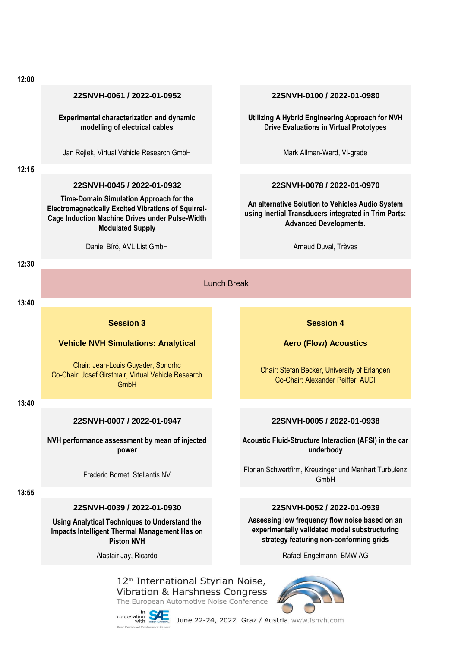#### **22SNVH-0061 / 2022-01-0952 22SNVH-0100 / 2022-01-0980**

**Experimental characterization and dynamic modelling of electrical cables**

Jan Rejlek, Virtual Vehicle Research GmbH Mark Allman-Ward, VI-grade

**12:15**

#### **22SNVH-0045 / 2022-01-0932 22SNVH-0078 / 2022-01-0970**

**Time-Domain Simulation Approach for the Electromagnetically Excited Vibrations of Squirrel-Cage Induction Machine Drives under Pulse-Width Modulated Supply**

Daniel Bíró, AVL List GmbH **Arnaud Duval, Trèves** Arnaud Duval, Trèves

**Utilizing A Hybrid Engineering Approach for NVH Drive Evaluations in Virtual Prototypes**

**An alternative Solution to Vehicles Audio System using Inertial Transducers integrated in Trim Parts: Advanced Developments.**

**12:30**

# Lunch Break

### **13:40**

#### **Session 3 Session 4 Session 4**

#### **Vehicle NVH Simulations: Analytical**

Chair: Jean-Louis Guyader, Sonorhc Co-Chair: Josef Girstmair, Virtual Vehicle Research **GmbH** 

**13:40**

#### **22SNVH-0007 / 2022-01-0947 22SNVH-0005 / 2022-01-0938**

**NVH performance assessment by mean of injected power**

#### **13:55**

### **22SNVH-0039 / 2022-01-0930 22SNVH-0052 / 2022-01-0939**

**Using Analytical Techniques to Understand the Impacts Intelligent Thermal Management Has on Piston NVH**

Chair: Stefan Becker, University of Erlangen Co-Chair: Alexander Peiffer, AUDI

**Aero (Flow) Acoustics**

**Acoustic Fluid-Structure Interaction (AFSI) in the car underbody**

Florian Schwertfirm, Kreuzinger und Manhart Turbulenz<br>Canbl L GmbH

**Assessing low frequency flow noise based on an experimentally validated modal substructuring strategy featuring non-conforming grids**

Alastair Jay, Ricardo **Rafael Engelmann, BMW AG** 



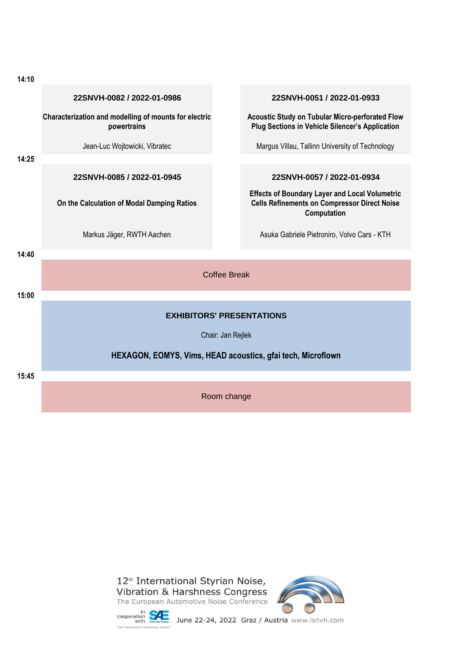| 14:10 |                                                                      |                     |                                                                                                                             |  |
|-------|----------------------------------------------------------------------|---------------------|-----------------------------------------------------------------------------------------------------------------------------|--|
|       | 22SNVH-0082 / 2022-01-0986                                           |                     | 22SNVH-0051 / 2022-01-0933                                                                                                  |  |
|       | Characterization and modelling of mounts for electric<br>powertrains |                     | Acoustic Study on Tubular Micro-perforated Flow<br><b>Plug Sections in Vehicle Silencer's Application</b>                   |  |
|       | Jean-Luc Wojtowicki, Vibratec                                        |                     | Margus Villau, Tallinn University of Technology                                                                             |  |
| 14:25 |                                                                      |                     |                                                                                                                             |  |
|       | 22SNVH-0085 / 2022-01-0945                                           |                     | 22SNVH-0057 / 2022-01-0934                                                                                                  |  |
|       | On the Calculation of Modal Damping Ratios                           |                     | <b>Effects of Boundary Layer and Local Volumetric</b><br><b>Cells Refinements on Compressor Direct Noise</b><br>Computation |  |
|       | Markus Jäger, RWTH Aachen                                            |                     | Asuka Gabriele Pietroniro, Volvo Cars - KTH                                                                                 |  |
| 14:40 |                                                                      |                     |                                                                                                                             |  |
|       |                                                                      | <b>Coffee Break</b> |                                                                                                                             |  |
| 15:00 |                                                                      |                     |                                                                                                                             |  |
|       | <b>EXHIBITORS' PRESENTATIONS</b>                                     |                     |                                                                                                                             |  |
|       | Chair: Jan Rejlek                                                    |                     |                                                                                                                             |  |
|       | HEXAGON, EOMYS, Vims, HEAD acoustics, gfai tech, Microflown          |                     |                                                                                                                             |  |
| 15:45 |                                                                      |                     |                                                                                                                             |  |
|       | Room change                                                          |                     |                                                                                                                             |  |



COOperation **VVIL**<br>Peer Reviewed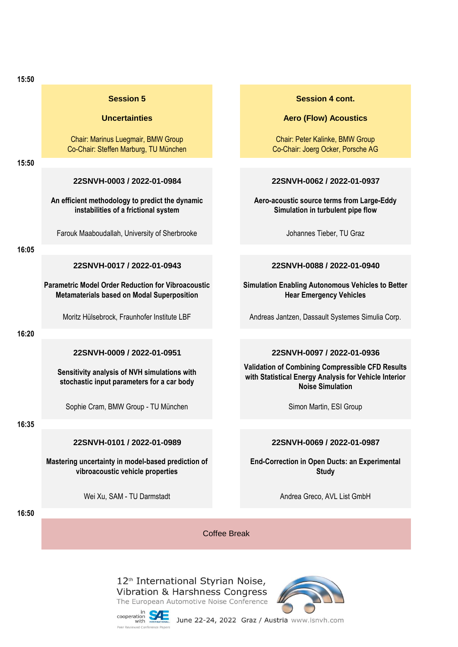| 15:50 |                                                                                                                |                                                                                                                                             |  |  |
|-------|----------------------------------------------------------------------------------------------------------------|---------------------------------------------------------------------------------------------------------------------------------------------|--|--|
|       | <b>Session 5</b>                                                                                               | <b>Session 4 cont.</b>                                                                                                                      |  |  |
|       | <b>Uncertainties</b>                                                                                           | <b>Aero (Flow) Acoustics</b>                                                                                                                |  |  |
|       | Chair: Marinus Luegmair, BMW Group<br>Co-Chair: Steffen Marburg, TU München                                    | Chair: Peter Kalinke, BMW Group<br>Co-Chair: Joerg Ocker, Porsche AG                                                                        |  |  |
| 15:50 |                                                                                                                |                                                                                                                                             |  |  |
|       | 22SNVH-0003 / 2022-01-0984                                                                                     | 22SNVH-0062 / 2022-01-0937                                                                                                                  |  |  |
|       | An efficient methodology to predict the dynamic<br>instabilities of a frictional system                        | Aero-acoustic source terms from Large-Eddy<br>Simulation in turbulent pipe flow                                                             |  |  |
|       | Farouk Maaboudallah, University of Sherbrooke                                                                  | Johannes Tieber, TU Graz                                                                                                                    |  |  |
| 16:05 |                                                                                                                |                                                                                                                                             |  |  |
|       | 22SNVH-0017 / 2022-01-0943                                                                                     | 22SNVH-0088 / 2022-01-0940                                                                                                                  |  |  |
|       | <b>Parametric Model Order Reduction for Vibroacoustic</b><br><b>Metamaterials based on Modal Superposition</b> | <b>Simulation Enabling Autonomous Vehicles to Better</b><br><b>Hear Emergency Vehicles</b>                                                  |  |  |
|       | Moritz Hülsebrock, Fraunhofer Institute LBF                                                                    | Andreas Jantzen, Dassault Systemes Simulia Corp.                                                                                            |  |  |
| 16:20 |                                                                                                                |                                                                                                                                             |  |  |
|       | 22SNVH-0009 / 2022-01-0951                                                                                     | 22SNVH-0097 / 2022-01-0936                                                                                                                  |  |  |
|       | Sensitivity analysis of NVH simulations with<br>stochastic input parameters for a car body                     | <b>Validation of Combining Compressible CFD Results</b><br>with Statistical Energy Analysis for Vehicle Interior<br><b>Noise Simulation</b> |  |  |
|       | Sophie Cram, BMW Group - TU München                                                                            | Simon Martin, ESI Group                                                                                                                     |  |  |
| 16:35 |                                                                                                                |                                                                                                                                             |  |  |
|       | 22SNVH-0101 / 2022-01-0989                                                                                     | 22SNVH-0069 / 2022-01-0987                                                                                                                  |  |  |
|       | Mastering uncertainty in model-based prediction of<br>vibroacoustic vehicle properties                         | <b>End-Correction in Open Ducts: an Experimental</b><br><b>Study</b>                                                                        |  |  |
|       | Wei Xu, SAM - TU Darmstadt                                                                                     | Andrea Greco, AVL List GmbH                                                                                                                 |  |  |
| 16:50 |                                                                                                                |                                                                                                                                             |  |  |
|       | <b>Coffee Break</b>                                                                                            |                                                                                                                                             |  |  |



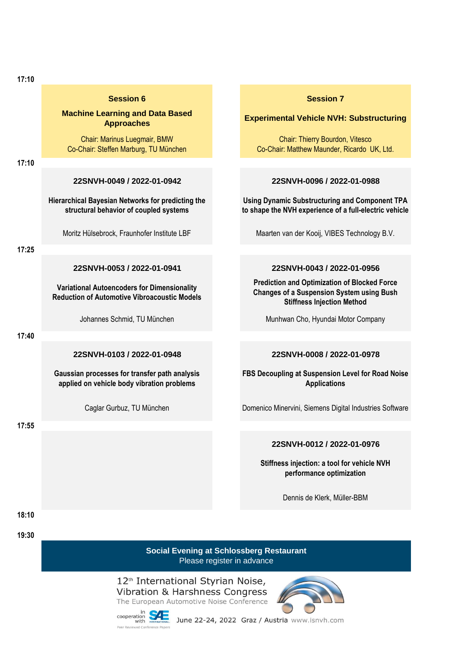|  |  | ×<br>۰, |
|--|--|---------|

#### **Session 6 Session 7 Session 7**

# **Machine Learning and Data Based**

Chair: Marinus Luegmair, BMW Co-Chair: Steffen Marburg, TU München

**17:10**

**Hierarchical Bayesian Networks for predicting the structural behavior of coupled systems**

**17:25**

**Variational Autoencoders for Dimensionality Reduction of Automotive Vibroacoustic Models**

**17:40**

**17:55**

**Gaussian processes for transfer path analysis applied on vehicle body vibration problems**

## **Approaches Experimental Vehicle NVH: Substructuring**

Chair: Thierry Bourdon, Vitesco Co-Chair: Matthew Maunder, Ricardo UK, Ltd.

### **22SNVH-0049 / 2022-01-0942 22SNVH-0096 / 2022-01-0988**

**Using Dynamic Substructuring and Component TPA to shape the NVH experience of a full-electric vehicle**

Moritz Hülsebrock, Fraunhofer Institute LBF Maarten van der Kooij, VIBES Technology B.V.

### **22SNVH-0053 / 2022-01-0941 22SNVH-0043 / 2022-01-0956**

**Prediction and Optimization of Blocked Force Changes of a Suspension System using Bush Stiffness Injection Method**

Johannes Schmid, TU München Munhwan Cho, Hyundai Motor Company

### **22SNVH-0103 / 2022-01-0948 22SNVH-0008 / 2022-01-0978**

**FBS Decoupling at Suspension Level for Road Noise Applications**

Caglar Gurbuz, TU München Domenico Minervini, Siemens Digital Industries Software

### **22SNVH-0012 / 2022-01-0976**

**Stiffness injection: a tool for vehicle NVH performance optimization** 

Dennis de Klerk, Müller-BBM

**18:10 19:30**

> **Social Evening at Schlossberg Restaurant** Please register in advance

12<sup>th</sup> International Styrian Noise, Vibration & Harshness Congress The European Automotive Noise Conference



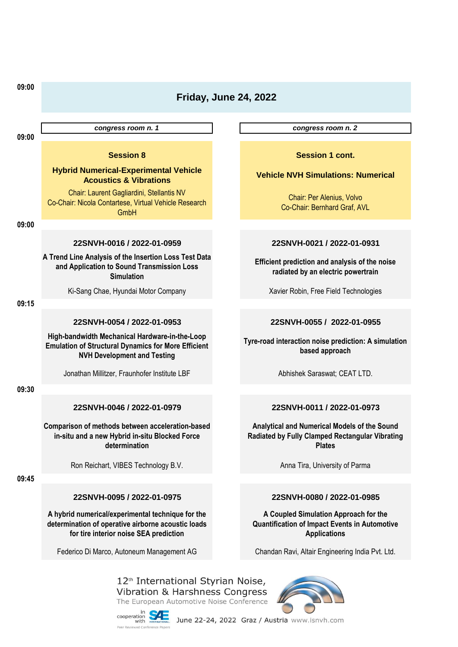| 09:00 | <b>Friday, June 24, 2022</b>                                                                                                                       |  |                                                                                                                      |
|-------|----------------------------------------------------------------------------------------------------------------------------------------------------|--|----------------------------------------------------------------------------------------------------------------------|
|       | congress room n. 1                                                                                                                                 |  | congress room n. 2                                                                                                   |
| 09:00 | <b>Session 8</b>                                                                                                                                   |  | <b>Session 1 cont.</b>                                                                                               |
|       | <b>Hybrid Numerical-Experimental Vehicle</b><br><b>Acoustics &amp; Vibrations</b>                                                                  |  | <b>Vehicle NVH Simulations: Numerical</b>                                                                            |
|       | Chair: Laurent Gagliardini, Stellantis NV<br>Co-Chair: Nicola Contartese, Virtual Vehicle Research<br>GmbH                                         |  | Chair: Per Alenius, Volvo<br>Co-Chair: Bernhard Graf, AVL                                                            |
| 09:00 |                                                                                                                                                    |  |                                                                                                                      |
|       | 22SNVH-0016 / 2022-01-0959                                                                                                                         |  | 22SNVH-0021 / 2022-01-0931                                                                                           |
|       | A Trend Line Analysis of the Insertion Loss Test Data<br>and Application to Sound Transmission Loss<br><b>Simulation</b>                           |  | Efficient prediction and analysis of the noise<br>radiated by an electric powertrain                                 |
|       | Ki-Sang Chae, Hyundai Motor Company                                                                                                                |  | Xavier Robin, Free Field Technologies                                                                                |
| 09:15 |                                                                                                                                                    |  |                                                                                                                      |
|       | 22SNVH-0054 / 2022-01-0953                                                                                                                         |  | 22SNVH-0055 / 2022-01-0955                                                                                           |
|       | High-bandwidth Mechanical Hardware-in-the-Loop<br><b>Emulation of Structural Dynamics for More Efficient</b><br><b>NVH Development and Testing</b> |  | Tyre-road interaction noise prediction: A simulation<br>based approach                                               |
|       | Jonathan Millitzer, Fraunhofer Institute LBF                                                                                                       |  | Abhishek Saraswat; CEAT LTD.                                                                                         |
| 09:30 |                                                                                                                                                    |  |                                                                                                                      |
|       | 22SNVH-0046 / 2022-01-0979                                                                                                                         |  | 22SNVH-0011 / 2022-01-0973                                                                                           |
|       | Comparison of methods between acceleration-based<br>in-situ and a new Hybrid in-situ Blocked Force<br>determination                                |  | Analytical and Numerical Models of the Sound<br>Radiated by Fully Clamped Rectangular Vibrating<br><b>Plates</b>     |
|       | Ron Reichart, VIBES Technology B.V.                                                                                                                |  | Anna Tira, University of Parma                                                                                       |
| 09:45 |                                                                                                                                                    |  |                                                                                                                      |
|       | 22SNVH-0095 / 2022-01-0975                                                                                                                         |  | 22SNVH-0080 / 2022-01-0985                                                                                           |
|       | A hybrid numerical/experimental technique for the<br>determination of operative airborne acoustic loads<br>for tire interior noise SEA prediction  |  | A Coupled Simulation Approach for the<br><b>Quantification of Impact Events in Automotive</b><br><b>Applications</b> |
|       | Federico Di Marco, Autoneum Management AG                                                                                                          |  | Chandan Ravi, Altair Engineering India Pvt. Ltd.                                                                     |
|       |                                                                                                                                                    |  |                                                                                                                      |

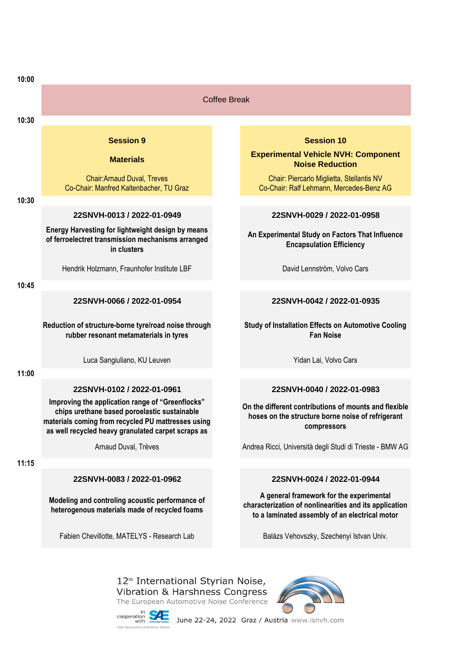| 10:00 |                                                                                                                                                          |  |                                                                                                                                                      |
|-------|----------------------------------------------------------------------------------------------------------------------------------------------------------|--|------------------------------------------------------------------------------------------------------------------------------------------------------|
|       | <b>Coffee Break</b>                                                                                                                                      |  |                                                                                                                                                      |
| 10:30 |                                                                                                                                                          |  |                                                                                                                                                      |
|       | <b>Session 9</b>                                                                                                                                         |  | <b>Session 10</b>                                                                                                                                    |
|       | <b>Materials</b>                                                                                                                                         |  | <b>Experimental Vehicle NVH: Component</b><br><b>Noise Reduction</b>                                                                                 |
|       | <b>Chair:Arnaud Duval, Treves</b><br>Co-Chair: Manfred Kaltenbacher, TU Graz                                                                             |  | Chair: Piercarlo Miglietta, Stellantis NV<br>Co-Chair: Ralf Lehmann, Mercedes-Benz AG                                                                |
| 10:30 |                                                                                                                                                          |  |                                                                                                                                                      |
|       | 22SNVH-0013 / 2022-01-0949                                                                                                                               |  | 22SNVH-0029 / 2022-01-0958                                                                                                                           |
|       | Energy Harvesting for lightweight design by means<br>of ferroelectret transmission mechanisms arranged<br>in clusters                                    |  | An Experimental Study on Factors That Influence<br><b>Encapsulation Efficiency</b>                                                                   |
|       | Hendrik Holzmann, Fraunhofer Institute LBF                                                                                                               |  | David Lennström, Volvo Cars                                                                                                                          |
| 10:45 |                                                                                                                                                          |  |                                                                                                                                                      |
|       | 22SNVH-0066 / 2022-01-0954                                                                                                                               |  | 22SNVH-0042 / 2022-01-0935                                                                                                                           |
|       | Reduction of structure-borne tyre/road noise through<br>rubber resonant metamaterials in tyres                                                           |  | <b>Study of Installation Effects on Automotive Cooling</b><br><b>Fan Noise</b>                                                                       |
|       | Luca Sangiuliano, KU Leuven                                                                                                                              |  | Yidan Lai, Volvo Cars                                                                                                                                |
| 11:00 |                                                                                                                                                          |  |                                                                                                                                                      |
|       | 22SNVH-0102 / 2022-01-0961<br>Improving the application range of "Greenflocks"                                                                           |  | 22SNVH-0040 / 2022-01-0983                                                                                                                           |
|       | chips urethane based poroelastic sustainable<br>materials coming from recycled PU mattresses using<br>as well recycled heavy granulated carpet scraps as |  | On the different contributions of mounts and flexible<br>hoses on the structure borne noise of refrigerant<br>compressors                            |
|       | Arnaud Duval, Trèves                                                                                                                                     |  | Andrea Ricci, Università degli Studi di Trieste - BMW AG                                                                                             |
| 11:15 |                                                                                                                                                          |  |                                                                                                                                                      |
|       | 22SNVH-0083 / 2022-01-0962                                                                                                                               |  | 22SNVH-0024 / 2022-01-0944                                                                                                                           |
|       | Modeling and controling acoustic performance of<br>heterogenous materials made of recycled foams                                                         |  | A general framework for the experimental<br>characterization of nonlinearities and its application<br>to a laminated assembly of an electrical motor |
|       | Fabien Chevillotte, MATELYS - Research Lab                                                                                                               |  | Balázs Vehovszky, Szechenyi Istvan Univ.                                                                                                             |
|       |                                                                                                                                                          |  |                                                                                                                                                      |